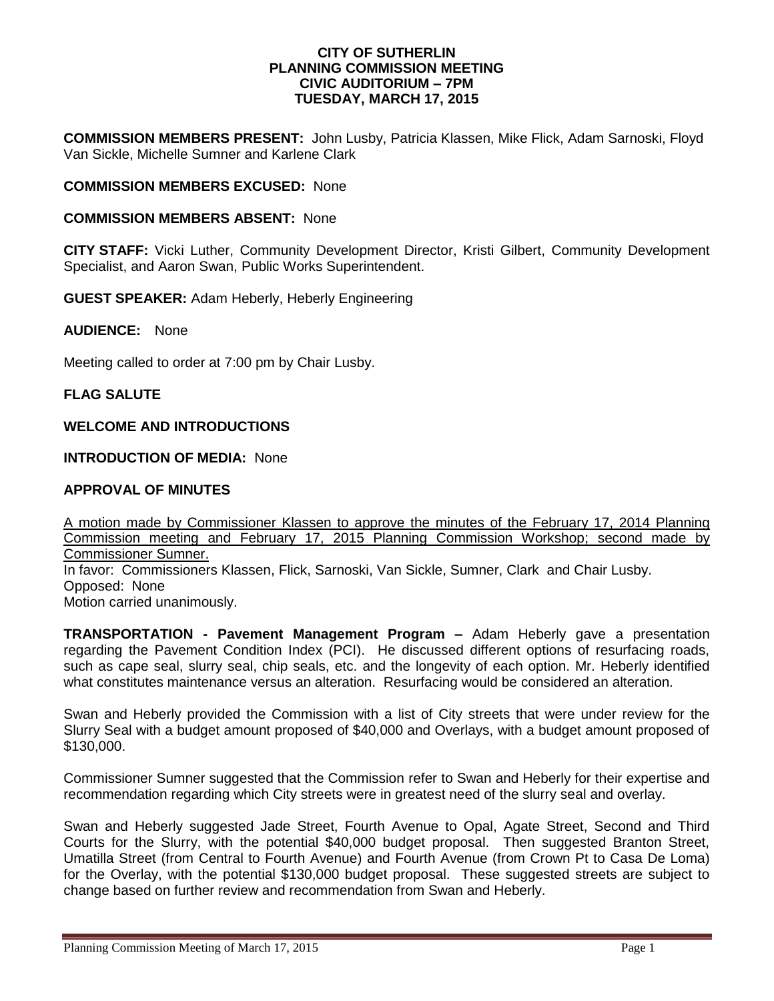### **CITY OF SUTHERLIN PLANNING COMMISSION MEETING CIVIC AUDITORIUM – 7PM TUESDAY, MARCH 17, 2015**

**COMMISSION MEMBERS PRESENT:** John Lusby, Patricia Klassen, Mike Flick, Adam Sarnoski, Floyd Van Sickle, Michelle Sumner and Karlene Clark

## **COMMISSION MEMBERS EXCUSED:** None

#### **COMMISSION MEMBERS ABSENT:** None

**CITY STAFF:** Vicki Luther, Community Development Director, Kristi Gilbert, Community Development Specialist, and Aaron Swan, Public Works Superintendent.

**GUEST SPEAKER:** Adam Heberly, Heberly Engineering

**AUDIENCE:** None

Meeting called to order at 7:00 pm by Chair Lusby.

#### **FLAG SALUTE**

### **WELCOME AND INTRODUCTIONS**

## **INTRODUCTION OF MEDIA:** None

## **APPROVAL OF MINUTES**

A motion made by Commissioner Klassen to approve the minutes of the February 17, 2014 Planning Commission meeting and February 17, 2015 Planning Commission Workshop; second made by Commissioner Sumner. In favor: Commissioners Klassen, Flick, Sarnoski, Van Sickle, Sumner, Clark and Chair Lusby. Opposed:None Motion carried unanimously.

**TRANSPORTATION - Pavement Management Program –** Adam Heberly gave a presentation regarding the Pavement Condition Index (PCI). He discussed different options of resurfacing roads, such as cape seal, slurry seal, chip seals, etc. and the longevity of each option. Mr. Heberly identified what constitutes maintenance versus an alteration. Resurfacing would be considered an alteration.

Swan and Heberly provided the Commission with a list of City streets that were under review for the Slurry Seal with a budget amount proposed of \$40,000 and Overlays, with a budget amount proposed of \$130,000.

Commissioner Sumner suggested that the Commission refer to Swan and Heberly for their expertise and recommendation regarding which City streets were in greatest need of the slurry seal and overlay.

Swan and Heberly suggested Jade Street, Fourth Avenue to Opal, Agate Street, Second and Third Courts for the Slurry, with the potential \$40,000 budget proposal. Then suggested Branton Street, Umatilla Street (from Central to Fourth Avenue) and Fourth Avenue (from Crown Pt to Casa De Loma) for the Overlay, with the potential \$130,000 budget proposal. These suggested streets are subject to change based on further review and recommendation from Swan and Heberly.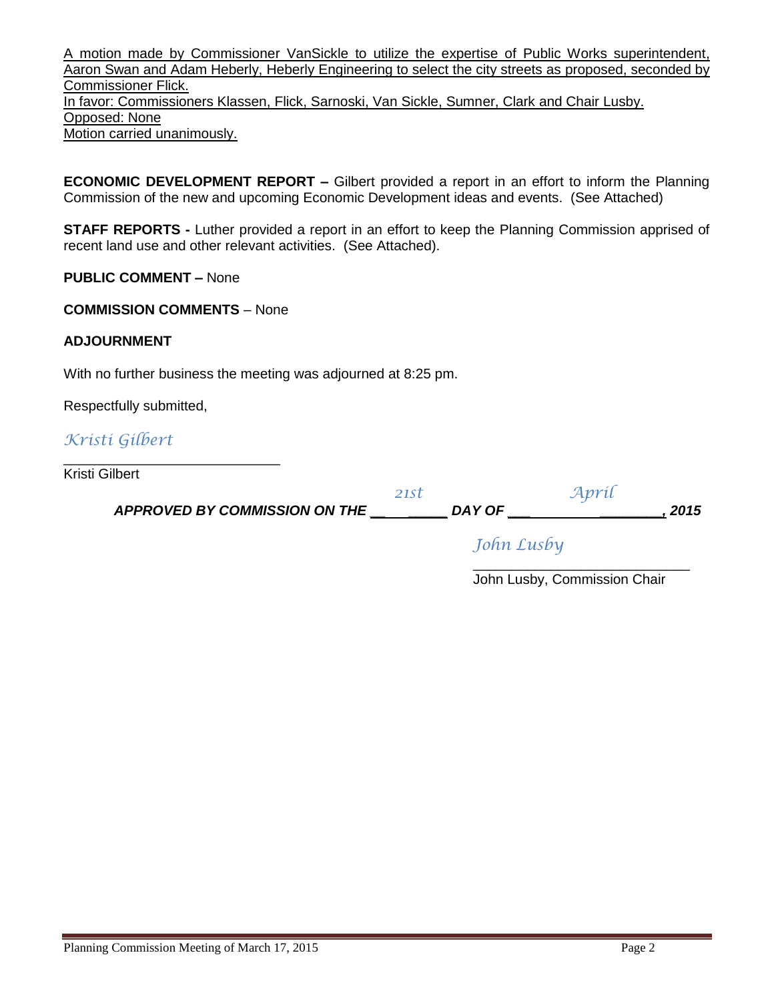A motion made by Commissioner VanSickle to utilize the expertise of Public Works superintendent, Aaron Swan and Adam Heberly, Heberly Engineering to select the city streets as proposed, seconded by Commissioner Flick. In favor: Commissioners Klassen, Flick, Sarnoski, Van Sickle, Sumner, Clark and Chair Lusby. Opposed: None Motion carried unanimously.

**ECONOMIC DEVELOPMENT REPORT –** Gilbert provided a report in an effort to inform the Planning Commission of the new and upcoming Economic Development ideas and events. (See Attached)

**STAFF REPORTS -** Luther provided a report in an effort to keep the Planning Commission apprised of recent land use and other relevant activities. (See Attached).

**PUBLIC COMMENT –** None

**COMMISSION COMMENTS** – None

\_\_\_\_\_\_\_\_\_\_\_\_\_\_\_\_\_\_\_\_\_\_\_\_\_\_\_\_

## **ADJOURNMENT**

With no further business the meeting was adjourned at 8:25 pm.

Respectfully submitted,

*Kristi Gilbert*

Kristi Gilbert

 *APPROVED BY COMMISSION ON THE \_\_ \_\_\_\_\_ DAY OF \_\_\_ \_\_\_\_\_\_\_\_, 2015*

*21st April*

*John Lusby*

\_\_\_\_\_\_\_\_\_\_\_\_\_\_\_\_\_\_\_\_\_\_\_\_\_\_\_\_ John Lusby, Commission Chair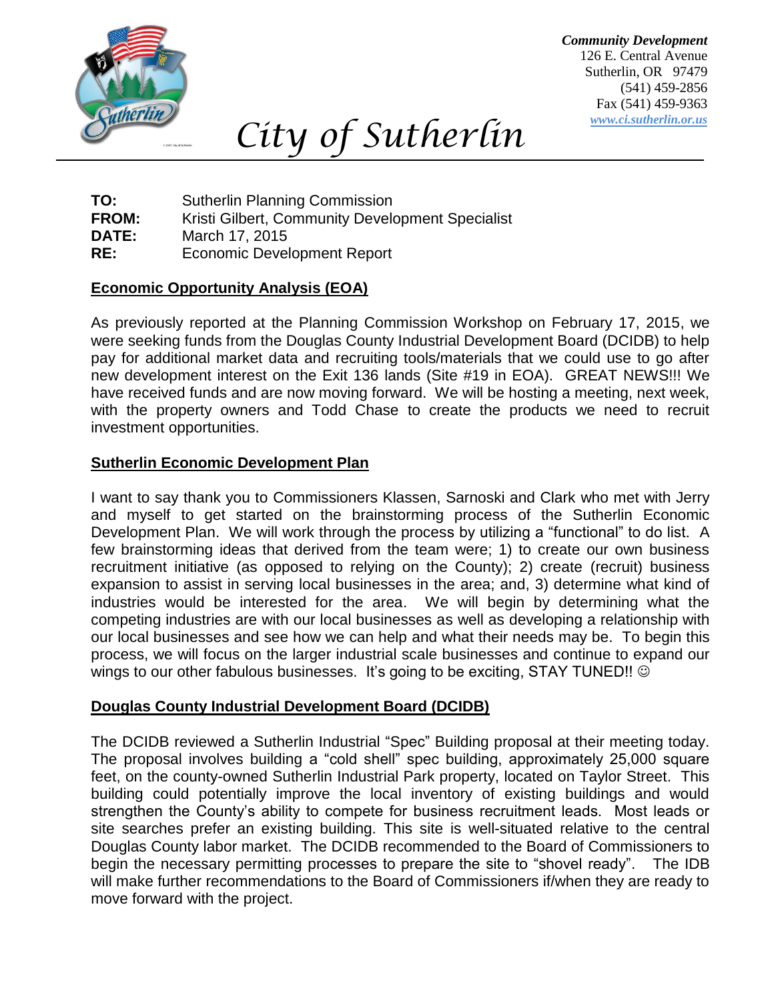

*City of Sutherlin*

*Community Development* 126 E. Central Avenue Sutherlin, OR 97479 (541) 459-2856 Fax (541) 459-9363 *www.ci.sutherlin.or.us*

**TO:** Sutherlin Planning Commission **FROM:** Kristi Gilbert, Community Development Specialist **DATE:** March 17, 2015 **RE:** Economic Development Report

# **Economic Opportunity Analysis (EOA)**

As previously reported at the Planning Commission Workshop on February 17, 2015, we were seeking funds from the Douglas County Industrial Development Board (DCIDB) to help pay for additional market data and recruiting tools/materials that we could use to go after new development interest on the Exit 136 lands (Site #19 in EOA). GREAT NEWS!!! We have received funds and are now moving forward. We will be hosting a meeting, next week, with the property owners and Todd Chase to create the products we need to recruit investment opportunities.

# **Sutherlin Economic Development Plan**

I want to say thank you to Commissioners Klassen, Sarnoski and Clark who met with Jerry and myself to get started on the brainstorming process of the Sutherlin Economic Development Plan. We will work through the process by utilizing a "functional" to do list. A few brainstorming ideas that derived from the team were; 1) to create our own business recruitment initiative (as opposed to relying on the County); 2) create (recruit) business expansion to assist in serving local businesses in the area; and, 3) determine what kind of industries would be interested for the area. We will begin by determining what the competing industries are with our local businesses as well as developing a relationship with our local businesses and see how we can help and what their needs may be. To begin this process, we will focus on the larger industrial scale businesses and continue to expand our wings to our other fabulous businesses. It's going to be exciting, STAY TUNED!!  $\odot$ 

# **Douglas County Industrial Development Board (DCIDB)**

The DCIDB reviewed a Sutherlin Industrial "Spec" Building proposal at their meeting today. The proposal involves building a "cold shell" spec building, approximately 25,000 square feet, on the county-owned Sutherlin Industrial Park property, located on Taylor Street. This building could potentially improve the local inventory of existing buildings and would strengthen the County's ability to compete for business recruitment leads. Most leads or site searches prefer an existing building. This site is well-situated relative to the central Douglas County labor market. The DCIDB recommended to the Board of Commissioners to begin the necessary permitting processes to prepare the site to "shovel ready". The IDB will make further recommendations to the Board of Commissioners if/when they are ready to move forward with the project.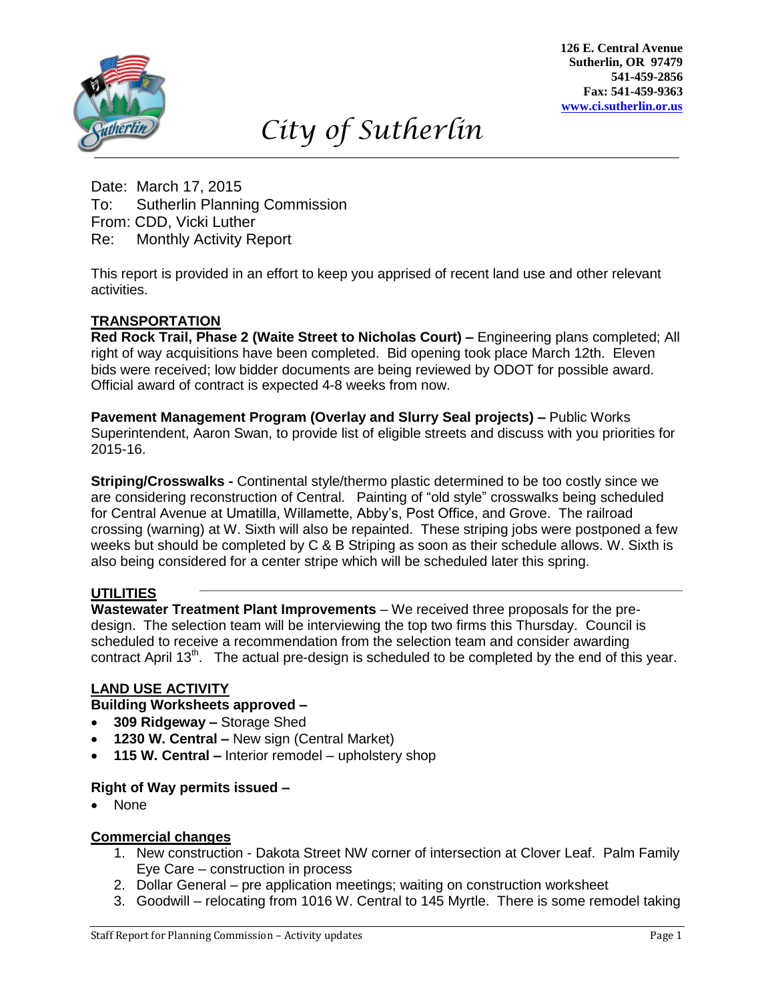

**126 E. Central Avenue Sutherlin, OR 97479 541-459-2856 Fax: 541-459-9363 [www.ci.sutherlin.or.us](http://www.ci.sutherlin.or.us/)**

# *City of Sutherlin*

Date: March 17, 2015 To: Sutherlin Planning Commission From: CDD, Vicki Luther Re: Monthly Activity Report

This report is provided in an effort to keep you apprised of recent land use and other relevant activities. *Dd*

# **TRANSPORTATION**

**Red Rock Trail, Phase 2 (Waite Street to Nicholas Court) –** Engineering plans completed; All right of way acquisitions have been completed. Bid opening took place March 12th. Eleven bids were received; low bidder documents are being reviewed by ODOT for possible award. Official award of contract is expected 4-8 weeks from now.

**Pavement Management Program (Overlay and Slurry Seal projects) –** Public Works *D* Superintendent, Aaron Swan, to provide list of eligible streets and discuss with you priorities for 2015-16.

**Striping/Crosswalks -** Continental style/thermo plastic determined to be too costly since we are considering reconstruction of Central. Painting of "old style" crosswalks being scheduled for Central Avenue at Umatilla, Willamette, Abby's, Post Office, and Grove. The railroad *D* crossing (warning) at W. Sixth will also be repainted. These striping jobs were postponed a few weeks but should be completed by C & B Striping as soon as their schedule allows. W. Sixth is *jfjdkdl*also being considered for a center stripe which will be scheduled later this spring.

## **UTILITIES**

**Wastewater Treatment Plant Improvements** – We received three proposals for the predesign. The selection team will be interviewing the top two firms this Thursday. Council is scheduled to receive a recommendation from the selection team and consider awarding contract April 13<sup>th</sup>. The actual pre-design is scheduled to be completed by the end of this year.

## **LAND USE ACTIVITY**

## **Building Worksheets approved –**

- **309 Ridgeway –** Storage Shed
- **1230 W. Central –** New sign (Central Market)
- **115 W. Central –** Interior remodel upholstery shop

### **Right of Way permits issued –**

None

### **Commercial changes**

- 1. New construction Dakota Street NW corner of intersection at Clover Leaf. Palm Family Eye Care – construction in process
- 2. Dollar General pre application meetings; waiting on construction worksheet
- 3. Goodwill relocating from 1016 W. Central to 145 Myrtle. There is some remodel taking